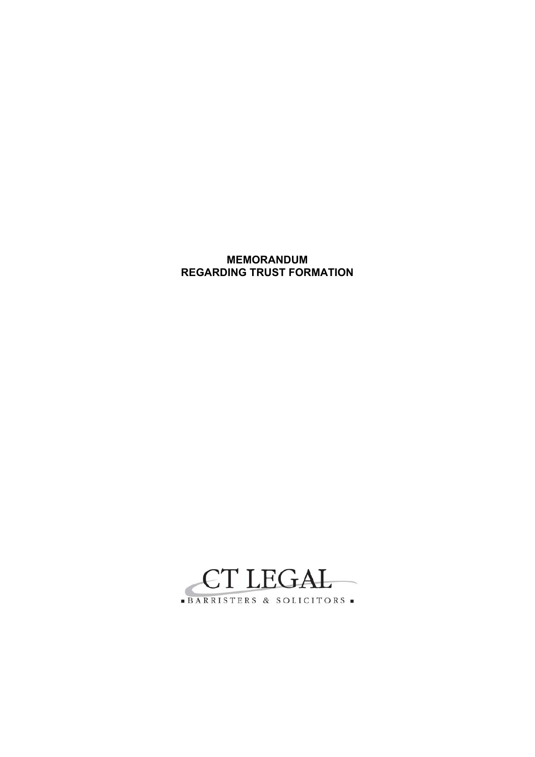# **MEMORANDUM REGARDING TRUST FORMATION**

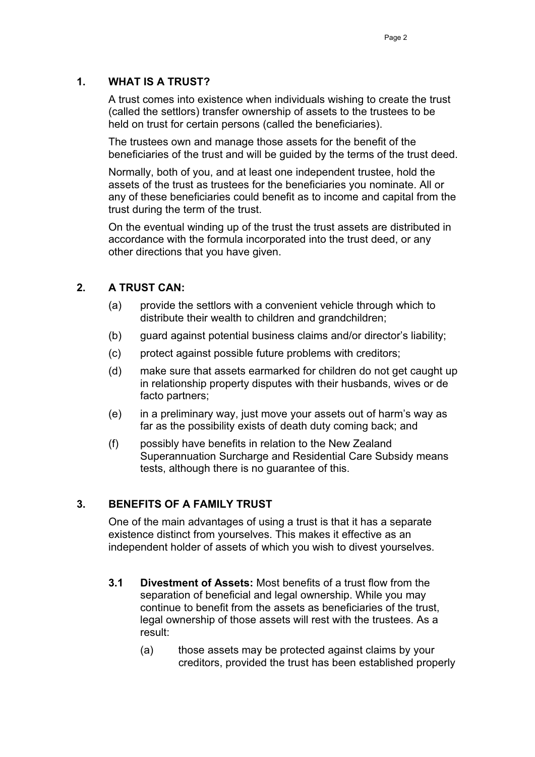### **1. WHAT IS A TRUST?**

A trust comes into existence when individuals wishing to create the trust (called the settlors) transfer ownership of assets to the trustees to be held on trust for certain persons (called the beneficiaries).

The trustees own and manage those assets for the benefit of the beneficiaries of the trust and will be guided by the terms of the trust deed.

Normally, both of you, and at least one independent trustee, hold the assets of the trust as trustees for the beneficiaries you nominate. All or any of these beneficiaries could benefit as to income and capital from the trust during the term of the trust.

On the eventual winding up of the trust the trust assets are distributed in accordance with the formula incorporated into the trust deed, or any other directions that you have given.

### **2. A TRUST CAN:**

- (a) provide the settlors with a convenient vehicle through which to distribute their wealth to children and grandchildren;
- (b) guard against potential business claims and/or director's liability;
- (c) protect against possible future problems with creditors;
- (d) make sure that assets earmarked for children do not get caught up in relationship property disputes with their husbands, wives or de facto partners;
- (e) in a preliminary way, just move your assets out of harm's way as far as the possibility exists of death duty coming back; and
- (f) possibly have benefits in relation to the New Zealand Superannuation Surcharge and Residential Care Subsidy means tests, although there is no guarantee of this.

### **3. BENEFITS OF A FAMILY TRUST**

One of the main advantages of using a trust is that it has a separate existence distinct from yourselves. This makes it effective as an independent holder of assets of which you wish to divest yourselves.

- **3.1 Divestment of Assets:** Most benefits of a trust flow from the separation of beneficial and legal ownership. While you may continue to benefit from the assets as beneficiaries of the trust, legal ownership of those assets will rest with the trustees. As a result:
	- (a) those assets may be protected against claims by your creditors, provided the trust has been established properly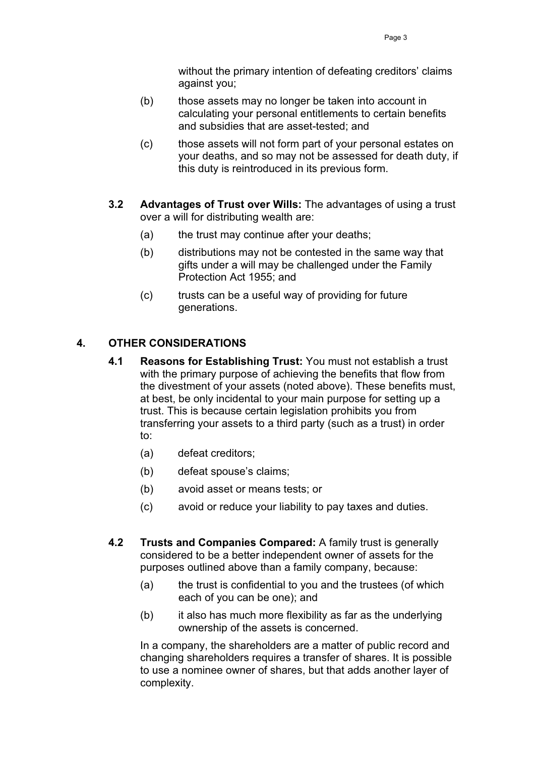without the primary intention of defeating creditors' claims against you;

- (b) those assets may no longer be taken into account in calculating your personal entitlements to certain benefits and subsidies that are asset-tested; and
- (c) those assets will not form part of your personal estates on your deaths, and so may not be assessed for death duty, if this duty is reintroduced in its previous form.
- **3.2 Advantages of Trust over Wills:** The advantages of using a trust over a will for distributing wealth are:
	- (a) the trust may continue after your deaths;
	- (b) distributions may not be contested in the same way that gifts under a will may be challenged under the Family Protection Act 1955; and
	- (c) trusts can be a useful way of providing for future generations.

# **4. OTHER CONSIDERATIONS**

- **4.1 Reasons for Establishing Trust:** You must not establish a trust with the primary purpose of achieving the benefits that flow from the divestment of your assets (noted above). These benefits must, at best, be only incidental to your main purpose for setting up a trust. This is because certain legislation prohibits you from transferring your assets to a third party (such as a trust) in order to:
	- (a) defeat creditors;
	- (b) defeat spouse's claims;
	- (b) avoid asset or means tests; or
	- (c) avoid or reduce your liability to pay taxes and duties.
- **4.2 Trusts and Companies Compared:** A family trust is generally considered to be a better independent owner of assets for the purposes outlined above than a family company, because:
	- (a) the trust is confidential to you and the trustees (of which each of you can be one); and
	- (b) it also has much more flexibility as far as the underlying ownership of the assets is concerned.

In a company, the shareholders are a matter of public record and changing shareholders requires a transfer of shares. It is possible to use a nominee owner of shares, but that adds another layer of complexity.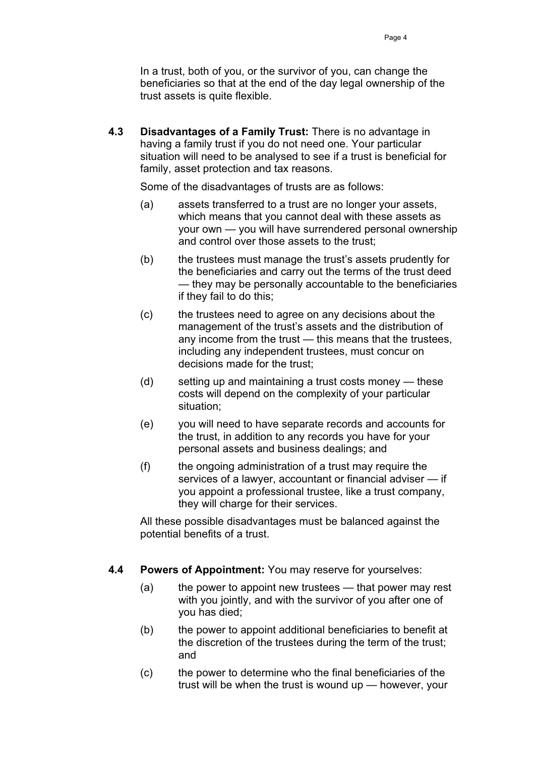In a trust, both of you, or the survivor of you, can change the beneficiaries so that at the end of the day legal ownership of the trust assets is quite flexible.

**4.3 Disadvantages of a Family Trust:** There is no advantage in having a family trust if you do not need one. Your particular situation will need to be analysed to see if a trust is beneficial for family, asset protection and tax reasons.

Some of the disadvantages of trusts are as follows:

- (a) assets transferred to a trust are no longer your assets, which means that you cannot deal with these assets as your own — you will have surrendered personal ownership and control over those assets to the trust;
- (b) the trustees must manage the trust's assets prudently for the beneficiaries and carry out the terms of the trust deed — they may be personally accountable to the beneficiaries if they fail to do this;
- (c) the trustees need to agree on any decisions about the management of the trust's assets and the distribution of any income from the trust — this means that the trustees, including any independent trustees, must concur on decisions made for the trust;
- (d) setting up and maintaining a trust costs money these costs will depend on the complexity of your particular situation;
- (e) you will need to have separate records and accounts for the trust, in addition to any records you have for your personal assets and business dealings; and
- (f) the ongoing administration of a trust may require the services of a lawyer, accountant or financial adviser — if you appoint a professional trustee, like a trust company, they will charge for their services.

All these possible disadvantages must be balanced against the potential benefits of a trust.

- **4.4 Powers of Appointment:** You may reserve for yourselves:
	- (a) the power to appoint new trustees that power may rest with you jointly, and with the survivor of you after one of you has died;
	- (b) the power to appoint additional beneficiaries to benefit at the discretion of the trustees during the term of the trust; and
	- (c) the power to determine who the final beneficiaries of the trust will be when the trust is wound up — however, your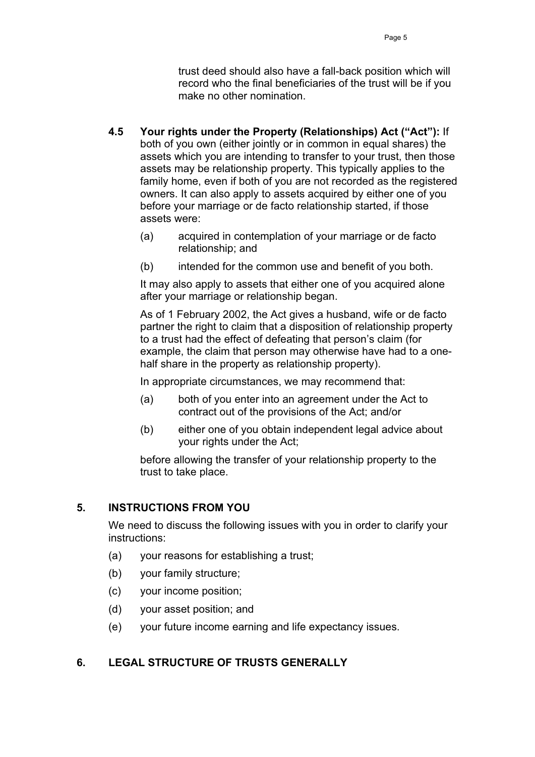trust deed should also have a fall-back position which will record who the final beneficiaries of the trust will be if you make no other nomination.

- **4.5 Your rights under the Property (Relationships) Act ("Act"):** If both of you own (either jointly or in common in equal shares) the assets which you are intending to transfer to your trust, then those assets may be relationship property. This typically applies to the family home, even if both of you are not recorded as the registered owners. It can also apply to assets acquired by either one of you before your marriage or de facto relationship started, if those assets were:
	- (a) acquired in contemplation of your marriage or de facto relationship; and
	- (b) intended for the common use and benefit of you both.

It may also apply to assets that either one of you acquired alone after your marriage or relationship began.

As of 1 February 2002, the Act gives a husband, wife or de facto partner the right to claim that a disposition of relationship property to a trust had the effect of defeating that person's claim (for example, the claim that person may otherwise have had to a onehalf share in the property as relationship property).

In appropriate circumstances, we may recommend that:

- (a) both of you enter into an agreement under the Act to contract out of the provisions of the Act; and/or
- (b) either one of you obtain independent legal advice about your rights under the Act;

before allowing the transfer of your relationship property to the trust to take place.

### **5. INSTRUCTIONS FROM YOU**

We need to discuss the following issues with you in order to clarify your instructions:

- (a) your reasons for establishing a trust;
- (b) your family structure;
- (c) your income position;
- (d) your asset position; and
- (e) your future income earning and life expectancy issues.

### **6. LEGAL STRUCTURE OF TRUSTS GENERALLY**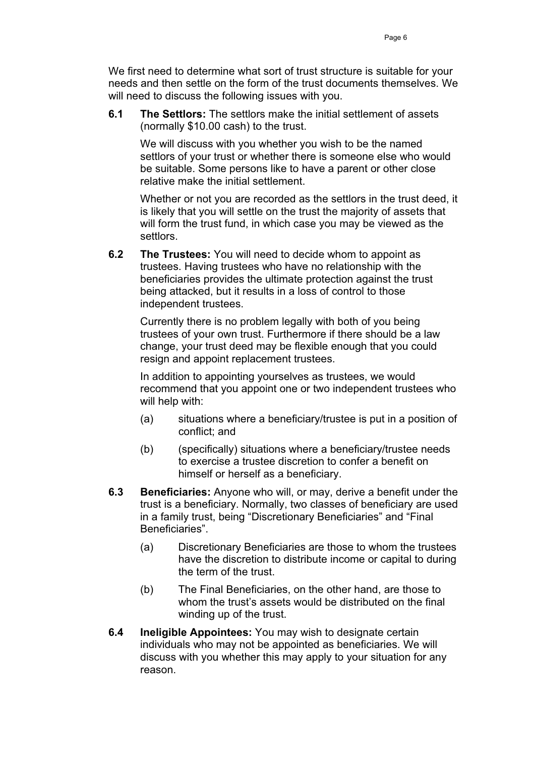We first need to determine what sort of trust structure is suitable for your needs and then settle on the form of the trust documents themselves. We will need to discuss the following issues with you.

**6.1 The Settlors:** The settlors make the initial settlement of assets (normally \$10.00 cash) to the trust.

We will discuss with you whether you wish to be the named settlors of your trust or whether there is someone else who would be suitable. Some persons like to have a parent or other close relative make the initial settlement.

Whether or not you are recorded as the settlors in the trust deed, it is likely that you will settle on the trust the majority of assets that will form the trust fund, in which case you may be viewed as the settlors.

**6.2 The Trustees:** You will need to decide whom to appoint as trustees. Having trustees who have no relationship with the beneficiaries provides the ultimate protection against the trust being attacked, but it results in a loss of control to those independent trustees.

Currently there is no problem legally with both of you being trustees of your own trust. Furthermore if there should be a law change, your trust deed may be flexible enough that you could resign and appoint replacement trustees.

In addition to appointing yourselves as trustees, we would recommend that you appoint one or two independent trustees who will help with:

- (a) situations where a beneficiary/trustee is put in a position of conflict; and
- (b) (specifically) situations where a beneficiary/trustee needs to exercise a trustee discretion to confer a benefit on himself or herself as a beneficiary.
- **6.3 Beneficiaries:** Anyone who will, or may, derive a benefit under the trust is a beneficiary. Normally, two classes of beneficiary are used in a family trust, being "Discretionary Beneficiaries" and "Final Beneficiaries".
	- (a) Discretionary Beneficiaries are those to whom the trustees have the discretion to distribute income or capital to during the term of the trust.
	- (b) The Final Beneficiaries, on the other hand, are those to whom the trust's assets would be distributed on the final winding up of the trust.
- **6.4 Ineligible Appointees:** You may wish to designate certain individuals who may not be appointed as beneficiaries. We will discuss with you whether this may apply to your situation for any reason.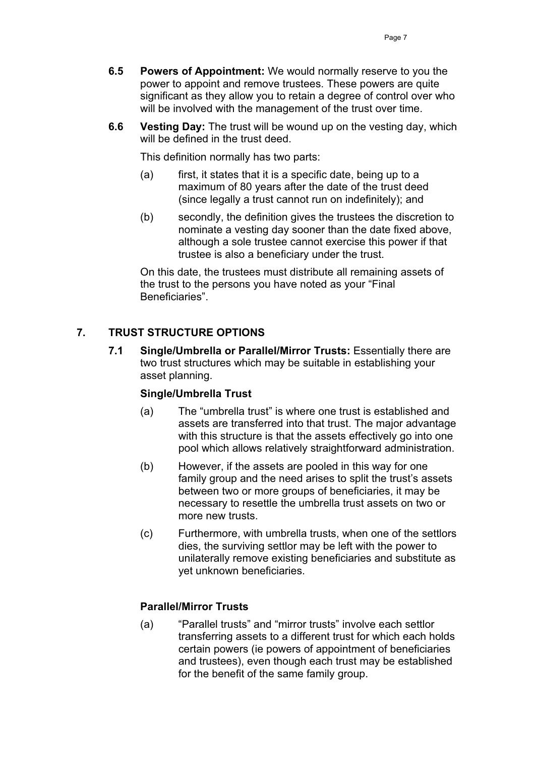- **6.5 Powers of Appointment:** We would normally reserve to you the power to appoint and remove trustees. These powers are quite significant as they allow you to retain a degree of control over who will be involved with the management of the trust over time.
- **6.6 Vesting Day:** The trust will be wound up on the vesting day, which will be defined in the trust deed.

This definition normally has two parts:

- (a) first, it states that it is a specific date, being up to a maximum of 80 years after the date of the trust deed (since legally a trust cannot run on indefinitely); and
- (b) secondly, the definition gives the trustees the discretion to nominate a vesting day sooner than the date fixed above, although a sole trustee cannot exercise this power if that trustee is also a beneficiary under the trust.

On this date, the trustees must distribute all remaining assets of the trust to the persons you have noted as your "Final Beneficiaries".

# **7. TRUST STRUCTURE OPTIONS**

**7.1 Single/Umbrella or Parallel/Mirror Trusts:** Essentially there are two trust structures which may be suitable in establishing your asset planning.

### **Single/Umbrella Trust**

- (a) The "umbrella trust" is where one trust is established and assets are transferred into that trust. The major advantage with this structure is that the assets effectively go into one pool which allows relatively straightforward administration.
- (b) However, if the assets are pooled in this way for one family group and the need arises to split the trust's assets between two or more groups of beneficiaries, it may be necessary to resettle the umbrella trust assets on two or more new trusts.
- (c) Furthermore, with umbrella trusts, when one of the settlors dies, the surviving settlor may be left with the power to unilaterally remove existing beneficiaries and substitute as yet unknown beneficiaries.

### **Parallel/Mirror Trusts**

(a) "Parallel trusts" and "mirror trusts" involve each settlor transferring assets to a different trust for which each holds certain powers (ie powers of appointment of beneficiaries and trustees), even though each trust may be established for the benefit of the same family group.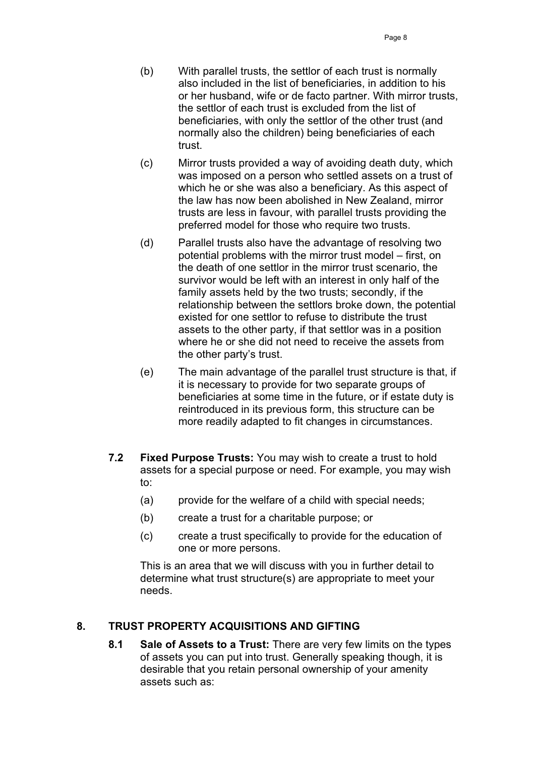- (b) With parallel trusts, the settlor of each trust is normally also included in the list of beneficiaries, in addition to his or her husband, wife or de facto partner. With mirror trusts, the settlor of each trust is excluded from the list of beneficiaries, with only the settlor of the other trust (and normally also the children) being beneficiaries of each trust.
- (c) Mirror trusts provided a way of avoiding death duty, which was imposed on a person who settled assets on a trust of which he or she was also a beneficiary. As this aspect of the law has now been abolished in New Zealand, mirror trusts are less in favour, with parallel trusts providing the preferred model for those who require two trusts.
- (d) Parallel trusts also have the advantage of resolving two potential problems with the mirror trust model – first, on the death of one settlor in the mirror trust scenario, the survivor would be left with an interest in only half of the family assets held by the two trusts; secondly, if the relationship between the settlors broke down, the potential existed for one settlor to refuse to distribute the trust assets to the other party, if that settlor was in a position where he or she did not need to receive the assets from the other party's trust.
- (e) The main advantage of the parallel trust structure is that, if it is necessary to provide for two separate groups of beneficiaries at some time in the future, or if estate duty is reintroduced in its previous form, this structure can be more readily adapted to fit changes in circumstances.
- **7.2 Fixed Purpose Trusts:** You may wish to create a trust to hold assets for a special purpose or need. For example, you may wish to:
	- (a) provide for the welfare of a child with special needs;
	- (b) create a trust for a charitable purpose; or
	- (c) create a trust specifically to provide for the education of one or more persons.

This is an area that we will discuss with you in further detail to determine what trust structure(s) are appropriate to meet your needs.

# **8. TRUST PROPERTY ACQUISITIONS AND GIFTING**

**8.1 Sale of Assets to a Trust:** There are very few limits on the types of assets you can put into trust. Generally speaking though, it is desirable that you retain personal ownership of your amenity assets such as: